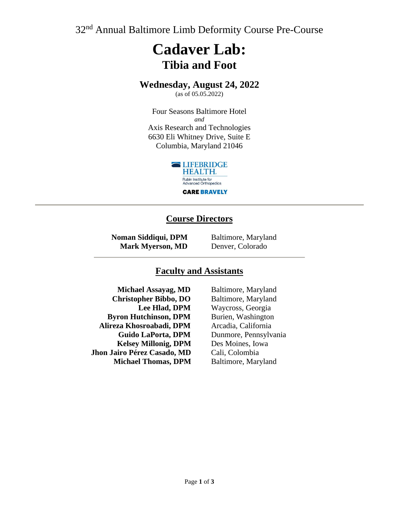32<sup>nd</sup> Annual Baltimore Limb Deformity Course Pre-Course

# **Cadaver Lab: Tibia and Foot**

## **Wednesday, August 24, 2022**

(as of 05.05.2022)

Four Seasons Baltimore Hotel *and* Axis Research and Technologies 6630 Eli Whitney Drive, Suite E Columbia, Maryland 21046



### **Course Directors**

**Noman Siddiqui, DPM Mark Myerson, MD** Baltimore, Maryland Denver, Colorado

#### **Faculty and Assistants**

**Michael Assayag, MD Christopher Bibbo, DO Lee Hlad, DPM Byron Hutchinson, DPM Alireza Khosroabadi, DPM Guido LaPorta, DPM Kelsey Millonig, DPM Jhon Jairo Pérez Casado, MD Michael Thomas, DPM**

Baltimore, Maryland Baltimore, Maryland Waycross, Georgia Burien, Washington Arcadia, California Dunmore, Pennsylvania Des Moines, Iowa Cali, Colombia Baltimore, Maryland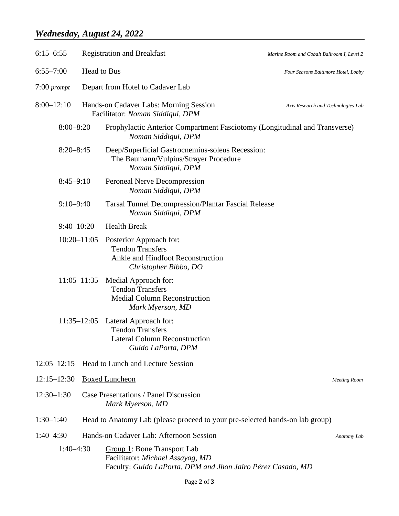# *Wednesday, August 24, 2022*

| $6:15 - 6:55$                |                       | <b>Registration and Breakfast</b>                                                                                                     | Marine Room and Cobalt Ballroom I, Level 2 |
|------------------------------|-----------------------|---------------------------------------------------------------------------------------------------------------------------------------|--------------------------------------------|
| Head to Bus<br>$6:55 - 7:00$ |                       |                                                                                                                                       | Four Seasons Baltimore Hotel, Lobby        |
| $7:00$ prompt                |                       | Depart from Hotel to Cadaver Lab                                                                                                      |                                            |
| $8:00 - 12:10$               |                       | Hands-on Cadaver Labs: Morning Session<br>Facilitator: Noman Siddiqui, DPM                                                            | Axis Research and Technologies Lab         |
| $8:00 - 8:20$                |                       | Prophylactic Anterior Compartment Fasciotomy (Longitudinal and Transverse)<br>Noman Siddiqui, DPM                                     |                                            |
| $8:20 - 8:45$                |                       | Deep/Superficial Gastrocnemius-soleus Recession:<br>The Baumann/Vulpius/Strayer Procedure<br>Noman Siddiqui, DPM                      |                                            |
| $8:45-9:10$                  |                       | <b>Peroneal Nerve Decompression</b><br>Noman Siddiqui, DPM                                                                            |                                            |
| $9:10 - 9:40$                |                       | <b>Tarsal Tunnel Decompression/Plantar Fascial Release</b><br>Noman Siddiqui, DPM                                                     |                                            |
| $9:40 - 10:20$               |                       | <b>Health Break</b>                                                                                                                   |                                            |
|                              | $10:20 - 11:05$       | Posterior Approach for:<br><b>Tendon Transfers</b><br>Ankle and Hindfoot Reconstruction<br>Christopher Bibbo, DO                      |                                            |
|                              | $11:05 - 11:35$       | Medial Approach for:<br><b>Tendon Transfers</b><br><b>Medial Column Reconstruction</b><br>Mark Myerson, MD                            |                                            |
|                              | $11:35 - 12:05$       | Lateral Approach for:<br><b>Tendon Transfers</b><br><b>Lateral Column Reconstruction</b><br>Guido LaPorta, DPM                        |                                            |
| $12:05 - 12:15$              |                       | <b>Head to Lunch and Lecture Session</b>                                                                                              |                                            |
| $12:15 - 12:30$              | <b>Boxed Luncheon</b> |                                                                                                                                       | <b>Meeting Room</b>                        |
| $12:30-1:30$                 |                       | Case Presentations / Panel Discussion<br>Mark Myerson, MD                                                                             |                                            |
| $1:30-1:40$                  |                       | Head to Anatomy Lab (please proceed to your pre-selected hands-on lab group)                                                          |                                            |
| $1:40-4:30$                  |                       | Hands-on Cadaver Lab: Afternoon Session<br>Anatomy Lab                                                                                |                                            |
| $1:40-4:30$                  |                       | <b>Group 1: Bone Transport Lab</b><br>Facilitator: Michael Assayag, MD<br>Faculty: Guido LaPorta, DPM and Jhon Jairo Pérez Casado, MD |                                            |